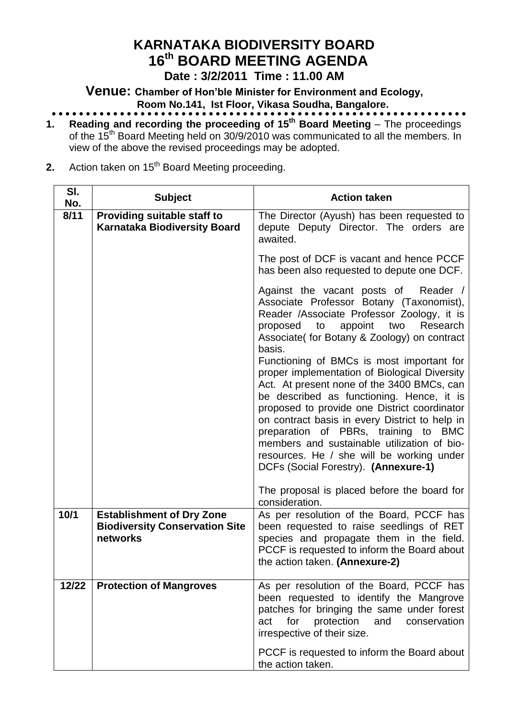# **KARNATAKA BIODIVERSITY BOARD 16 th BOARD MEETING AGENDA**

**Date : 3/2/2011 Time : 11.00 AM**

**Venue: Chamber of Hon'ble Minister for Environment and Ecology, Room No.141, Ist Floor, Vikasa Soudha, Bangalore.**

- **1. Reading and recording the proceeding of 15<sup>th</sup> Board Meeting** The proceedings of the 15<sup>th</sup> Board Meeting held on 30/9/2010 was communicated to all the members. In view of the above the revised proceedings may be adopted.
- **2.** Action taken on 15<sup>th</sup> Board Meeting proceeding.

| SI.<br>No. | <b>Subject</b>                                                                        | <b>Action taken</b>                                                                                                                                                                                                                                                                                                                                                                                                                                                 |
|------------|---------------------------------------------------------------------------------------|---------------------------------------------------------------------------------------------------------------------------------------------------------------------------------------------------------------------------------------------------------------------------------------------------------------------------------------------------------------------------------------------------------------------------------------------------------------------|
| 8/11       | <b>Providing suitable staff to</b><br><b>Karnataka Biodiversity Board</b>             | The Director (Ayush) has been requested to<br>depute Deputy Director. The orders are<br>awaited.                                                                                                                                                                                                                                                                                                                                                                    |
|            |                                                                                       | The post of DCF is vacant and hence PCCF<br>has been also requested to depute one DCF.                                                                                                                                                                                                                                                                                                                                                                              |
|            |                                                                                       | Against the vacant posts of<br>Reader /<br>Associate Professor Botany (Taxonomist),<br>Reader /Associate Professor Zoology, it is<br>two<br>proposed<br>to<br>appoint<br>Research<br>Associate( for Botany & Zoology) on contract<br>basis.                                                                                                                                                                                                                         |
|            |                                                                                       | Functioning of BMCs is most important for<br>proper implementation of Biological Diversity<br>Act. At present none of the 3400 BMCs, can<br>be described as functioning. Hence, it is<br>proposed to provide one District coordinator<br>on contract basis in every District to help in<br>preparation of PBRs, training to BMC<br>members and sustainable utilization of bio-<br>resources. He / she will be working under<br>DCFs (Social Forestry). (Annexure-1) |
|            |                                                                                       | The proposal is placed before the board for<br>consideration.                                                                                                                                                                                                                                                                                                                                                                                                       |
| 10/1       | <b>Establishment of Dry Zone</b><br><b>Biodiversity Conservation Site</b><br>networks | As per resolution of the Board, PCCF has<br>been requested to raise seedlings of RET<br>species and propagate them in the field.<br>PCCF is requested to inform the Board about<br>the action taken. (Annexure-2)                                                                                                                                                                                                                                                   |
| 12/22      | <b>Protection of Mangroves</b>                                                        | As per resolution of the Board, PCCF has<br>been requested to identify the Mangrove<br>patches for bringing the same under forest<br>for<br>protection<br>and<br>conservation<br>act<br>irrespective of their size.                                                                                                                                                                                                                                                 |
|            |                                                                                       | PCCF is requested to inform the Board about<br>the action taken.                                                                                                                                                                                                                                                                                                                                                                                                    |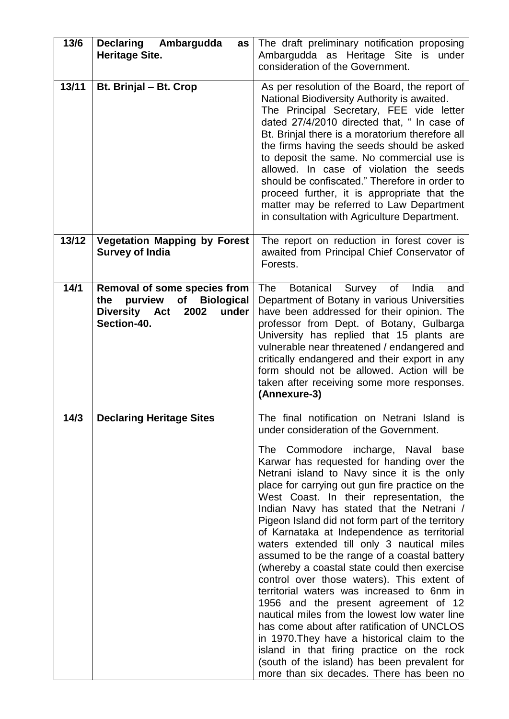| 13/6  | <b>Declaring</b><br>Ambargudda<br>as<br><b>Heritage Site.</b>                                                    | The draft preliminary notification proposing<br>Ambargudda as Heritage Site is under<br>consideration of the Government.                                                                                                                                                                                                                                                                                                                                                                                                                                                                                                                                                                                                                                                                                                                                                                                                                                                                                                                           |
|-------|------------------------------------------------------------------------------------------------------------------|----------------------------------------------------------------------------------------------------------------------------------------------------------------------------------------------------------------------------------------------------------------------------------------------------------------------------------------------------------------------------------------------------------------------------------------------------------------------------------------------------------------------------------------------------------------------------------------------------------------------------------------------------------------------------------------------------------------------------------------------------------------------------------------------------------------------------------------------------------------------------------------------------------------------------------------------------------------------------------------------------------------------------------------------------|
| 13/11 | Bt. Brinjal - Bt. Crop                                                                                           | As per resolution of the Board, the report of<br>National Biodiversity Authority is awaited.<br>The Principal Secretary, FEE vide letter<br>dated 27/4/2010 directed that, " In case of<br>Bt. Brinjal there is a moratorium therefore all<br>the firms having the seeds should be asked<br>to deposit the same. No commercial use is<br>allowed. In case of violation the seeds<br>should be confiscated." Therefore in order to<br>proceed further, it is appropriate that the<br>matter may be referred to Law Department<br>in consultation with Agriculture Department.                                                                                                                                                                                                                                                                                                                                                                                                                                                                       |
| 13/12 | <b>Vegetation Mapping by Forest</b><br><b>Survey of India</b>                                                    | The report on reduction in forest cover is<br>awaited from Principal Chief Conservator of<br>Forests.                                                                                                                                                                                                                                                                                                                                                                                                                                                                                                                                                                                                                                                                                                                                                                                                                                                                                                                                              |
| 14/1  | Removal of some species from<br>purview<br>of Biological<br>the<br>Diversity Act<br>2002<br>under<br>Section-40. | Botanical Survey<br>India<br><b>The</b><br>of<br>and<br>Department of Botany in various Universities<br>have been addressed for their opinion. The<br>professor from Dept. of Botany, Gulbarga<br>University has replied that 15 plants are<br>vulnerable near threatened / endangered and<br>critically endangered and their export in any<br>form should not be allowed. Action will be<br>taken after receiving some more responses.<br>(Annexure-3)                                                                                                                                                                                                                                                                                                                                                                                                                                                                                                                                                                                            |
| 14/3  | <b>Declaring Heritage Sites</b>                                                                                  | The final notification on Netrani Island is<br>under consideration of the Government.<br>The Commodore incharge, Naval base<br>Karwar has requested for handing over the<br>Netrani island to Navy since it is the only<br>place for carrying out gun fire practice on the<br>West Coast. In their representation, the<br>Indian Navy has stated that the Netrani /<br>Pigeon Island did not form part of the territory<br>of Karnataka at Independence as territorial<br>waters extended till only 3 nautical miles<br>assumed to be the range of a coastal battery<br>(whereby a coastal state could then exercise<br>control over those waters). This extent of<br>territorial waters was increased to 6nm in<br>1956 and the present agreement of 12<br>nautical miles from the lowest low water line<br>has come about after ratification of UNCLOS<br>in 1970. They have a historical claim to the<br>island in that firing practice on the rock<br>(south of the island) has been prevalent for<br>more than six decades. There has been no |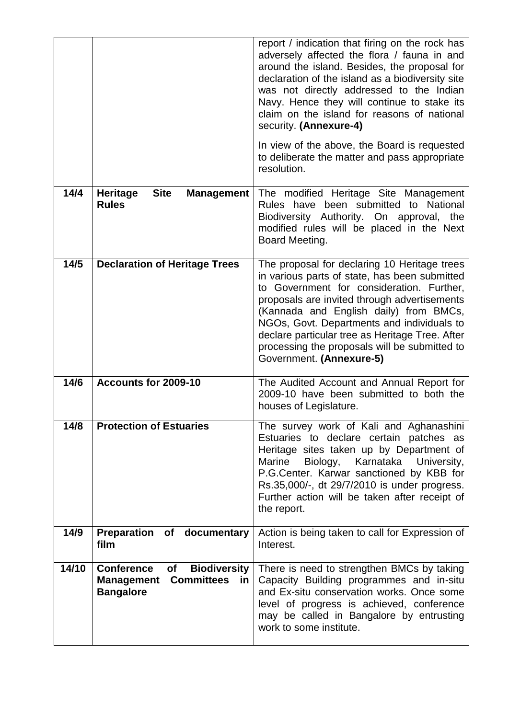|       |                                                                                                                           | report / indication that firing on the rock has<br>adversely affected the flora / fauna in and<br>around the island. Besides, the proposal for<br>declaration of the island as a biodiversity site<br>was not directly addressed to the Indian<br>Navy. Hence they will continue to stake its<br>claim on the island for reasons of national<br>security. (Annexure-4)                                             |
|-------|---------------------------------------------------------------------------------------------------------------------------|--------------------------------------------------------------------------------------------------------------------------------------------------------------------------------------------------------------------------------------------------------------------------------------------------------------------------------------------------------------------------------------------------------------------|
|       |                                                                                                                           | In view of the above, the Board is requested<br>to deliberate the matter and pass appropriate<br>resolution.                                                                                                                                                                                                                                                                                                       |
| 14/4  | <b>Site</b><br><b>Heritage</b><br><b>Management</b><br><b>Rules</b>                                                       | The modified Heritage Site Management<br>Rules have been submitted to National<br>Biodiversity Authority. On approval, the<br>modified rules will be placed in the Next<br>Board Meeting.                                                                                                                                                                                                                          |
| 14/5  | <b>Declaration of Heritage Trees</b>                                                                                      | The proposal for declaring 10 Heritage trees<br>in various parts of state, has been submitted<br>to Government for consideration. Further,<br>proposals are invited through advertisements<br>(Kannada and English daily) from BMCs,<br>NGOs, Govt. Departments and individuals to<br>declare particular tree as Heritage Tree. After<br>processing the proposals will be submitted to<br>Government. (Annexure-5) |
| 14/6  | Accounts for 2009-10                                                                                                      | The Audited Account and Annual Report for<br>2009-10 have been submitted to both the<br>houses of Legislature.                                                                                                                                                                                                                                                                                                     |
| 14/8  | <b>Protection of Estuaries</b>                                                                                            | The survey work of Kali and Aghanashini<br>Estuaries to declare certain patches as<br>Heritage sites taken up by Department of<br>Marine<br>Biology,<br>Karnataka<br>University,<br>P.G.Center. Karwar sanctioned by KBB for<br>Rs.35,000/-, dt 29/7/2010 is under progress.<br>Further action will be taken after receipt of<br>the report.                                                                       |
| 14/9  | Preparation of documentary<br>film                                                                                        | Action is being taken to call for Expression of<br>Interest.                                                                                                                                                                                                                                                                                                                                                       |
| 14/10 | <b>Conference</b><br><b>Biodiversity</b><br>of<br><b>Committees</b><br><b>Management</b><br><u>in</u><br><b>Bangalore</b> | There is need to strengthen BMCs by taking<br>Capacity Building programmes and in-situ<br>and Ex-situ conservation works. Once some<br>level of progress is achieved, conference<br>may be called in Bangalore by entrusting<br>work to some institute.                                                                                                                                                            |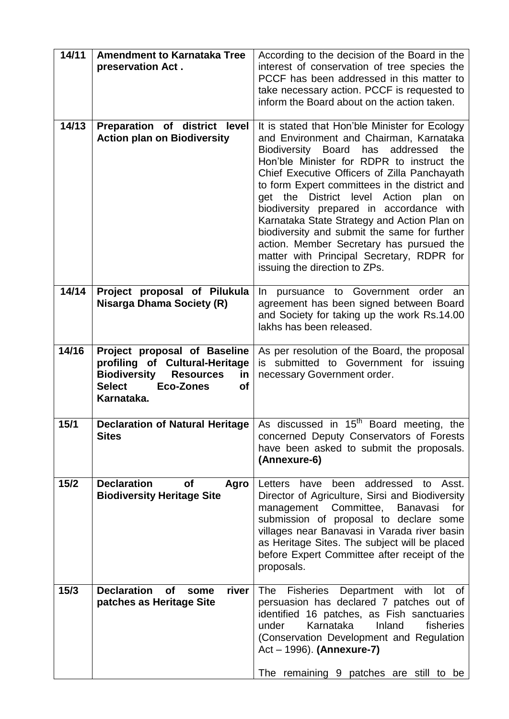| 14/11 | <b>Amendment to Karnataka Tree</b><br>preservation Act.                                                                                                                         | According to the decision of the Board in the<br>interest of conservation of tree species the<br>PCCF has been addressed in this matter to<br>take necessary action. PCCF is requested to<br>inform the Board about on the action taken.                                                                                                                                                                                                                                                                                                                                                               |
|-------|---------------------------------------------------------------------------------------------------------------------------------------------------------------------------------|--------------------------------------------------------------------------------------------------------------------------------------------------------------------------------------------------------------------------------------------------------------------------------------------------------------------------------------------------------------------------------------------------------------------------------------------------------------------------------------------------------------------------------------------------------------------------------------------------------|
| 14/13 | Preparation of district level<br><b>Action plan on Biodiversity</b>                                                                                                             | It is stated that Hon'ble Minister for Ecology<br>and Environment and Chairman, Karnataka<br>Biodiversity Board has<br>addressed<br>the<br>Hon'ble Minister for RDPR to instruct the<br>Chief Executive Officers of Zilla Panchayath<br>to form Expert committees in the district and<br>get the District level Action plan<br>on<br>biodiversity prepared in accordance with<br>Karnataka State Strategy and Action Plan on<br>biodiversity and submit the same for further<br>action. Member Secretary has pursued the<br>matter with Principal Secretary, RDPR for<br>issuing the direction to ZPs. |
| 14/14 | Project proposal of Pilukula<br><b>Nisarga Dhama Society (R)</b>                                                                                                                | pursuance to Government order an<br>In.<br>agreement has been signed between Board<br>and Society for taking up the work Rs.14.00<br>lakhs has been released.                                                                                                                                                                                                                                                                                                                                                                                                                                          |
| 14/16 | Project proposal of Baseline<br>profiling of Cultural-Heritage<br><b>Biodiversity</b><br><b>Resources</b><br>in<br><b>Select</b><br><b>Eco-Zones</b><br><b>of</b><br>Karnataka. | As per resolution of the Board, the proposal<br>is submitted to Government for issuing<br>necessary Government order.                                                                                                                                                                                                                                                                                                                                                                                                                                                                                  |
| 15/1  | <b>Sites</b>                                                                                                                                                                    | <b>Declaration of Natural Heritage</b>   As discussed in 15 <sup>th</sup> Board meeting, the<br>concerned Deputy Conservators of Forests<br>have been asked to submit the proposals.<br>(Annexure-6)                                                                                                                                                                                                                                                                                                                                                                                                   |
| 15/2  | <b>Declaration</b><br><b>of</b><br>Agro<br><b>Biodiversity Heritage Site</b>                                                                                                    | been addressed to<br>have<br>Asst.<br>Letters<br>Director of Agriculture, Sirsi and Biodiversity<br>management Committee, Banavasi<br>for<br>submission of proposal to declare some<br>villages near Banavasi in Varada river basin<br>as Heritage Sites. The subject will be placed<br>before Expert Committee after receipt of the<br>proposals.                                                                                                                                                                                                                                                     |
| 15/3  | <b>Declaration</b><br><b>of</b><br>river<br>some<br>patches as Heritage Site                                                                                                    | The<br><b>Fisheries</b><br>Department with<br>lot<br>of.<br>persuasion has declared 7 patches out of<br>identified 16 patches, as Fish sanctuaries<br>Karnataka<br>Inland<br>fisheries<br>under<br>(Conservation Development and Regulation<br>$Act - 1996)$ . (Annexure-7)<br>The remaining 9 patches are still to be                                                                                                                                                                                                                                                                                 |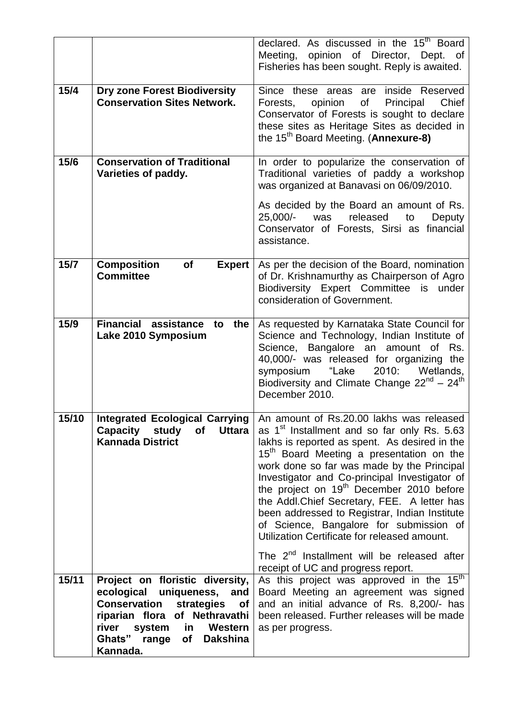|       |                                                                                                                                               | declared. As discussed in the 15 <sup>th</sup> Board<br>Meeting, opinion of Director, Dept. of<br>Fisheries has been sought. Reply is awaited.                                                                                                                                                                                                                                                                                                                                                                                                                                |  |
|-------|-----------------------------------------------------------------------------------------------------------------------------------------------|-------------------------------------------------------------------------------------------------------------------------------------------------------------------------------------------------------------------------------------------------------------------------------------------------------------------------------------------------------------------------------------------------------------------------------------------------------------------------------------------------------------------------------------------------------------------------------|--|
| 15/4  | <b>Dry zone Forest Biodiversity</b><br><b>Conservation Sites Network.</b>                                                                     | Since these areas are inside Reserved<br>of<br>Principal<br>Chief<br>opinion<br>Forests,<br>Conservator of Forests is sought to declare<br>these sites as Heritage Sites as decided in<br>the 15 <sup>th</sup> Board Meeting. ( <b>Annexure-8)</b>                                                                                                                                                                                                                                                                                                                            |  |
| 15/6  | <b>Conservation of Traditional</b><br>Varieties of paddy.                                                                                     | In order to popularize the conservation of<br>Traditional varieties of paddy a workshop<br>was organized at Banavasi on 06/09/2010.<br>As decided by the Board an amount of Rs.<br>25,000/-<br>released<br>was<br>to<br>Deputy<br>Conservator of Forests, Sirsi as financial<br>assistance.                                                                                                                                                                                                                                                                                   |  |
| 15/7  | <b>Composition</b><br>Expert<br><b>of</b><br><b>Committee</b>                                                                                 | As per the decision of the Board, nomination<br>of Dr. Krishnamurthy as Chairperson of Agro<br>Biodiversity Expert Committee is under<br>consideration of Government.                                                                                                                                                                                                                                                                                                                                                                                                         |  |
| 15/9  | <b>Financial assistance</b><br>the<br>to<br>Lake 2010 Symposium                                                                               | As requested by Karnataka State Council for<br>Science and Technology, Indian Institute of<br>Science, Bangalore an amount of Rs.<br>40,000/- was released for organizing the<br>"Lake<br>2010:<br>symposium<br>Wetlands,<br>Biodiversity and Climate Change $22^{nd} - 24^{th}$<br>December 2010.                                                                                                                                                                                                                                                                            |  |
| 15/10 | Integrated Ecological Carrying   An amount of Rs.20.00 lakhs was released<br>Capacity study<br>of<br><b>Uttara</b><br><b>Kannada District</b> | as 1 <sup>st</sup> Installment and so far only Rs. 5.63<br>lakhs is reported as spent. As desired in the<br>15 <sup>th</sup> Board Meeting a presentation on the<br>work done so far was made by the Principal<br>Investigator and Co-principal Investigator of<br>the project on 19 <sup>th</sup> December 2010 before<br>the Addl. Chief Secretary, FEE. A letter has<br>been addressed to Registrar, Indian Institute<br>of Science, Bangalore for submission of<br>Utilization Certificate for released amount.<br>The 2 <sup>nd</sup> Installment will be released after |  |
|       |                                                                                                                                               | receipt of UC and progress report.                                                                                                                                                                                                                                                                                                                                                                                                                                                                                                                                            |  |
| 15/11 | Project on floristic diversity,<br>ecological uniqueness,<br>and                                                                              | As this project was approved in the 15 <sup>th</sup><br>Board Meeting an agreement was signed                                                                                                                                                                                                                                                                                                                                                                                                                                                                                 |  |
|       | <b>Conservation strategies of</b>                                                                                                             | and an initial advance of Rs. 8,200/- has                                                                                                                                                                                                                                                                                                                                                                                                                                                                                                                                     |  |
|       | riparian flora of Nethravathi<br>river<br>system<br>in<br>Western                                                                             | been released. Further releases will be made<br>as per progress.                                                                                                                                                                                                                                                                                                                                                                                                                                                                                                              |  |
|       | Ghats" range of<br><b>Dakshina</b><br>Kannada.                                                                                                |                                                                                                                                                                                                                                                                                                                                                                                                                                                                                                                                                                               |  |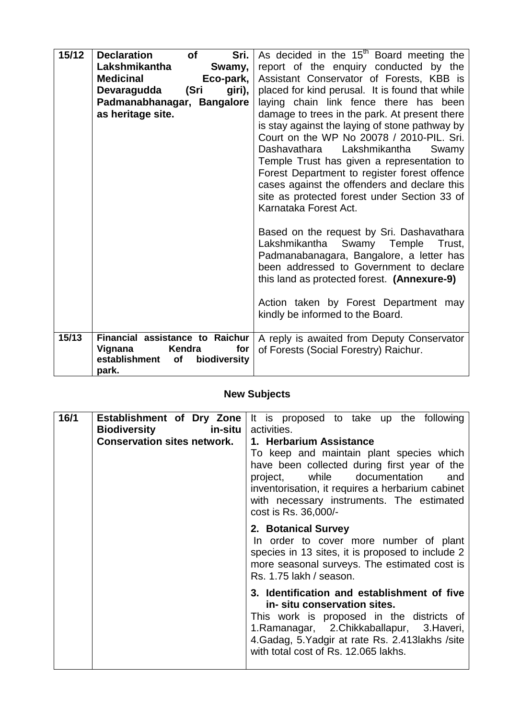| 15/12 | <b>Declaration</b><br>Sri.<br><b>of</b><br>Lakshmikantha<br>Swamy,<br><b>Medicinal</b><br>Eco-park,<br>Devaragudda<br>(Sri<br>giri), | As decided in the 15 <sup>th</sup> Board meeting the<br>report of the enquiry conducted by the<br>Assistant Conservator of Forests, KBB is<br>placed for kind perusal. It is found that while                                                                                                                                                             |
|-------|--------------------------------------------------------------------------------------------------------------------------------------|-----------------------------------------------------------------------------------------------------------------------------------------------------------------------------------------------------------------------------------------------------------------------------------------------------------------------------------------------------------|
|       | Padmanabhanagar, Bangalore<br>as heritage site.                                                                                      | laying chain link fence there has been<br>damage to trees in the park. At present there                                                                                                                                                                                                                                                                   |
|       |                                                                                                                                      | is stay against the laying of stone pathway by<br>Court on the WP No 20078 / 2010-PIL. Sri.<br>Dashavathara Lakshmikantha<br>Swamy<br>Temple Trust has given a representation to<br>Forest Department to register forest offence<br>cases against the offenders and declare this<br>site as protected forest under Section 33 of<br>Karnataka Forest Act. |
|       |                                                                                                                                      | Based on the request by Sri. Dashavathara<br>Lakshmikantha Swamy Temple<br>Trust.<br>Padmanabanagara, Bangalore, a letter has<br>been addressed to Government to declare<br>this land as protected forest. (Annexure-9)                                                                                                                                   |
|       |                                                                                                                                      | Action taken by Forest Department may<br>kindly be informed to the Board.                                                                                                                                                                                                                                                                                 |
| 15/13 | Financial assistance to Raichur<br>Vignana<br>Kendra<br>for<br>establishment<br>biodiversity<br><b>of</b><br>park.                   | A reply is awaited from Deputy Conservator<br>of Forests (Social Forestry) Raichur.                                                                                                                                                                                                                                                                       |

## **New Subjects**

| 16/1 | <b>Biodiversity</b><br>in-situ     | Establishment of Dry Zone   It is proposed to take up the following<br>activities.                                                                                                                                                                                                  |
|------|------------------------------------|-------------------------------------------------------------------------------------------------------------------------------------------------------------------------------------------------------------------------------------------------------------------------------------|
|      | <b>Conservation sites network.</b> | 1. Herbarium Assistance<br>To keep and maintain plant species which<br>have been collected during first year of the<br>project, while documentation<br>and<br>inventorisation, it requires a herbarium cabinet<br>with necessary instruments. The estimated<br>cost is Rs. 36,000/- |
|      |                                    | 2. Botanical Survey<br>In order to cover more number of plant<br>species in 13 sites, it is proposed to include 2<br>more seasonal surveys. The estimated cost is<br>Rs. 1.75 lakh / season.                                                                                        |
|      |                                    | 3. Identification and establishment of five<br>in-situ conservation sites.<br>This work is proposed in the districts of<br>1. Ramanagar, 2. Chikkaballapur, 3. Haveri,<br>4. Gadag, 5. Yadgir at rate Rs. 2.413 lakhs / site<br>with total cost of Rs. 12.065 lakhs.                |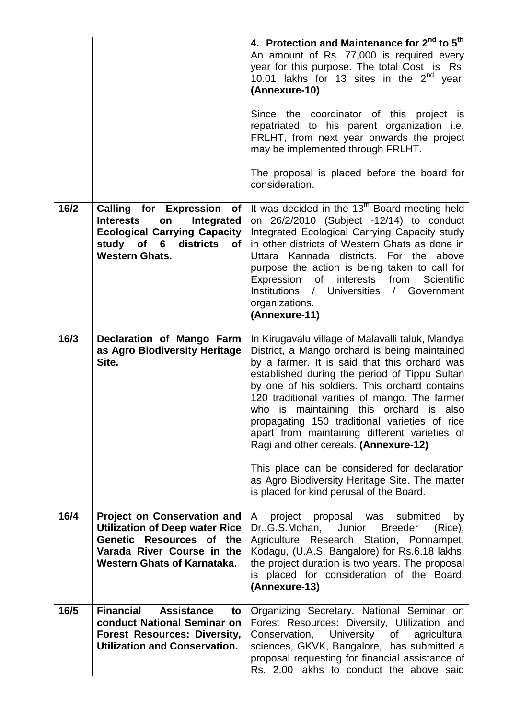|      |                                                                                                                                                                               | 4. Protection and Maintenance for 2 <sup>nd</sup> to 5 <sup>th</sup><br>An amount of Rs. 77,000 is required every<br>year for this purpose. The total Cost is Rs.<br>10.01 lakhs for 13 sites in the $2^{nd}$ year.<br>(Annexure-10)<br>Since the coordinator of this project is<br>repatriated to his parent organization i.e.<br>FRLHT, from next year onwards the project<br>may be implemented through FRLHT.<br>The proposal is placed before the board for<br>consideration.                                                                                                                                                        |
|------|-------------------------------------------------------------------------------------------------------------------------------------------------------------------------------|-------------------------------------------------------------------------------------------------------------------------------------------------------------------------------------------------------------------------------------------------------------------------------------------------------------------------------------------------------------------------------------------------------------------------------------------------------------------------------------------------------------------------------------------------------------------------------------------------------------------------------------------|
| 16/2 | <b>Calling for Expression of</b><br>Integrated<br><b>Interests</b><br>on<br><b>Ecological Carrying Capacity</b><br>study of 6 districts<br><b>of</b><br><b>Western Ghats.</b> | It was decided in the 13 <sup>th</sup> Board meeting held<br>on 26/2/2010 (Subject -12/14) to conduct<br>Integrated Ecological Carrying Capacity study<br>in other districts of Western Ghats as done in<br>Uttara Kannada districts. For the above<br>purpose the action is being taken to call for<br>Expression<br>of<br>interests<br>from<br>Scientific<br>Institutions / Universities / Government<br>organizations.<br>(Annexure-11)                                                                                                                                                                                                |
| 16/3 | Declaration of Mango Farm<br>as Agro Biodiversity Heritage<br>Site.                                                                                                           | In Kirugavalu village of Malavalli taluk, Mandya<br>District, a Mango orchard is being maintained<br>by a farmer. It is said that this orchard was<br>established during the period of Tippu Sultan<br>by one of his soldiers. This orchard contains<br>120 traditional varities of mango. The farmer<br>who is maintaining this orchard is also<br>propagating 150 traditional varieties of rice<br>apart from maintaining different varieties of<br>Ragi and other cereals. (Annexure-12)<br>This place can be considered for declaration<br>as Agro Biodiversity Heritage Site. The matter<br>is placed for kind perusal of the Board. |
| 16/4 | <b>Project on Conservation and</b><br><b>Utilization of Deep water Rice</b><br>Genetic Resources of the<br>Varada River Course in the<br><b>Western Ghats of Karnataka.</b>   | project proposal was<br>submitted<br>A<br>by<br>DrG.S.Mohan,<br>Junior<br><b>Breeder</b><br>(Rice),<br>Agriculture Research Station, Ponnampet,<br>Kodagu, (U.A.S. Bangalore) for Rs.6.18 lakhs,<br>the project duration is two years. The proposal<br>is placed for consideration of the Board.<br>(Annexure-13)                                                                                                                                                                                                                                                                                                                         |
| 16/5 | <b>Financial</b><br><b>Assistance</b><br>to<br>conduct National Seminar on<br><b>Forest Resources: Diversity,</b><br><b>Utilization and Conservation.</b>                     | Organizing Secretary, National Seminar on<br>Forest Resources: Diversity, Utilization and<br>Conservation, University of<br>agricultural<br>sciences, GKVK, Bangalore, has submitted a<br>proposal requesting for financial assistance of<br>Rs. 2.00 lakhs to conduct the above said                                                                                                                                                                                                                                                                                                                                                     |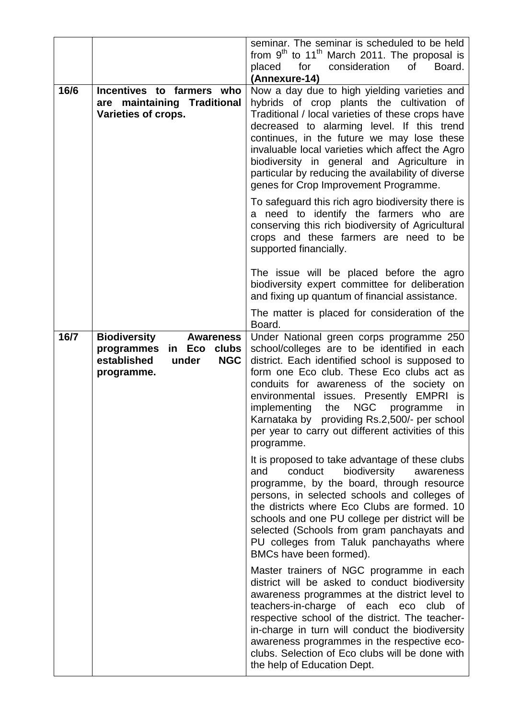|      |                                                                                                                              | seminar. The seminar is scheduled to be held<br>from $9th$ to 11 <sup>th</sup> March 2011. The proposal is<br>consideration<br>of<br>Board.<br>placed<br>for<br>(Annexure-14)                                                                                                                                                                                                                                                                                                                                                                                                                                                                                       |
|------|------------------------------------------------------------------------------------------------------------------------------|---------------------------------------------------------------------------------------------------------------------------------------------------------------------------------------------------------------------------------------------------------------------------------------------------------------------------------------------------------------------------------------------------------------------------------------------------------------------------------------------------------------------------------------------------------------------------------------------------------------------------------------------------------------------|
| 16/6 | Incentives to farmers who<br>are maintaining Traditional<br>Varieties of crops.                                              | Now a day due to high yielding varieties and<br>hybrids of crop plants the cultivation of<br>Traditional / local varieties of these crops have<br>decreased to alarming level. If this trend<br>continues, in the future we may lose these<br>invaluable local varieties which affect the Agro<br>biodiversity in general and Agriculture in<br>particular by reducing the availability of diverse<br>genes for Crop Improvement Programme.<br>To safeguard this rich agro biodiversity there is<br>a need to identify the farmers who are<br>conserving this rich biodiversity of Agricultural<br>crops and these farmers are need to be<br>supported financially. |
|      |                                                                                                                              | The issue will be placed before the agro<br>biodiversity expert committee for deliberation<br>and fixing up quantum of financial assistance.                                                                                                                                                                                                                                                                                                                                                                                                                                                                                                                        |
|      |                                                                                                                              | The matter is placed for consideration of the<br>Board.                                                                                                                                                                                                                                                                                                                                                                                                                                                                                                                                                                                                             |
| 16/7 | <b>Biodiversity</b><br><b>Awareness</b><br>programmes<br>in Eco<br>clubs<br>established<br>under<br><b>NGC</b><br>programme. | Under National green corps programme 250<br>school/colleges are to be identified in each<br>district. Each identified school is supposed to<br>form one Eco club. These Eco clubs act as<br>conduits for awareness of the society on<br>environmental issues. Presently EMPRI<br>is<br><b>NGC</b><br>the<br>implementing<br>programme<br>in.<br>Karnataka by providing Rs.2,500/- per school<br>per year to carry out different activities of this<br>programme.                                                                                                                                                                                                    |
|      |                                                                                                                              | It is proposed to take advantage of these clubs<br>conduct<br>biodiversity<br>and<br>awareness<br>programme, by the board, through resource<br>persons, in selected schools and colleges of<br>the districts where Eco Clubs are formed. 10<br>schools and one PU college per district will be<br>selected (Schools from gram panchayats and<br>PU colleges from Taluk panchayaths where<br>BMCs have been formed).                                                                                                                                                                                                                                                 |
|      |                                                                                                                              | Master trainers of NGC programme in each<br>district will be asked to conduct biodiversity<br>awareness programmes at the district level to<br>teachers-in-charge of each eco<br>club of<br>respective school of the district. The teacher-<br>in-charge in turn will conduct the biodiversity<br>awareness programmes in the respective eco-<br>clubs. Selection of Eco clubs will be done with<br>the help of Education Dept.                                                                                                                                                                                                                                     |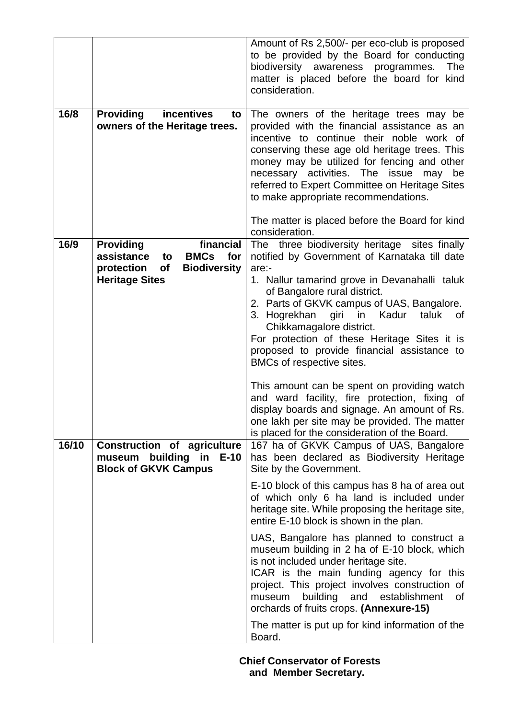|       |                                                                                                                                             | Amount of Rs 2,500/- per eco-club is proposed<br>to be provided by the Board for conducting<br>biodiversity<br>awareness<br><b>The</b><br>programmes.<br>matter is placed before the board for kind<br>consideration.                                                                                                                                                                                                                                         |
|-------|---------------------------------------------------------------------------------------------------------------------------------------------|---------------------------------------------------------------------------------------------------------------------------------------------------------------------------------------------------------------------------------------------------------------------------------------------------------------------------------------------------------------------------------------------------------------------------------------------------------------|
| 16/8  | <b>Providing</b><br>incentives<br>to<br>owners of the Heritage trees.                                                                       | The owners of the heritage trees may be<br>provided with the financial assistance as an<br>incentive to continue their noble work of<br>conserving these age old heritage trees. This<br>money may be utilized for fencing and other<br>necessary activities. The issue may be<br>referred to Expert Committee on Heritage Sites<br>to make appropriate recommendations.<br>The matter is placed before the Board for kind                                    |
| 16/9  | financial<br><b>Providing</b><br><b>BMCs</b><br>assistance<br>for<br>to<br>protection<br>of<br><b>Biodiversity</b><br><b>Heritage Sites</b> | consideration.<br>The three biodiversity heritage sites finally<br>notified by Government of Karnataka till date<br>are:-<br>1. Nallur tamarind grove in Devanahalli taluk<br>of Bangalore rural district.<br>2. Parts of GKVK campus of UAS, Bangalore.<br>3. Hogrekhan giri in Kadur<br>taluk<br>0f<br>Chikkamagalore district.<br>For protection of these Heritage Sites it is<br>proposed to provide financial assistance to<br>BMCs of respective sites. |
| 16/10 | <b>Construction of agriculture</b>                                                                                                          | This amount can be spent on providing watch<br>and ward facility, fire protection, fixing of<br>display boards and signage. An amount of Rs.<br>one lakh per site may be provided. The matter<br>is placed for the consideration of the Board.<br>167 ha of GKVK Campus of UAS, Bangalore                                                                                                                                                                     |
|       | museum<br>building in<br>$E-10$<br><b>Block of GKVK Campus</b>                                                                              | has been declared as Biodiversity Heritage<br>Site by the Government.<br>E-10 block of this campus has 8 ha of area out<br>of which only 6 ha land is included under<br>heritage site. While proposing the heritage site,<br>entire E-10 block is shown in the plan.                                                                                                                                                                                          |
|       |                                                                                                                                             | UAS, Bangalore has planned to construct a<br>museum building in 2 ha of E-10 block, which<br>is not included under heritage site.<br>ICAR is the main funding agency for this<br>project. This project involves construction of<br>building<br>establishment<br>museum<br>and<br>οf<br>orchards of fruits crops. (Annexure-15)                                                                                                                                |
|       |                                                                                                                                             | The matter is put up for kind information of the<br>Board.                                                                                                                                                                                                                                                                                                                                                                                                    |

 **Chief Conservator of Forests and Member Secretary.**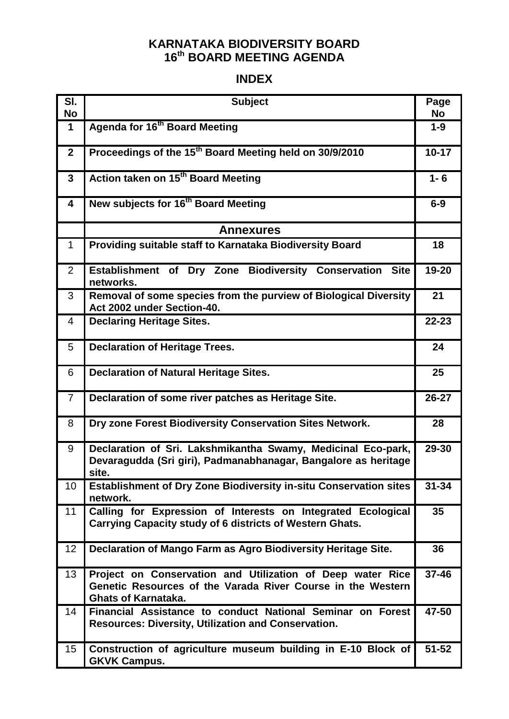### **KARNATAKA BIODIVERSITY BOARD 16 th BOARD MEETING AGENDA**

### **INDEX**

| SI.<br><b>No</b> | <b>Subject</b>                                                                                                                                          | Page<br><b>No</b> |
|------------------|---------------------------------------------------------------------------------------------------------------------------------------------------------|-------------------|
| $\mathbf 1$      | Agenda for 16 <sup>th</sup> Board Meeting                                                                                                               | $1 - 9$           |
| $\mathbf{2}$     | Proceedings of the 15 <sup>th</sup> Board Meeting held on 30/9/2010                                                                                     | $10 - 17$         |
| 3                | Action taken on 15 <sup>th</sup> Board Meeting                                                                                                          | $1 - 6$           |
| 4                | New subjects for 16 <sup>th</sup> Board Meeting                                                                                                         | $6-9$             |
|                  | <b>Annexures</b>                                                                                                                                        |                   |
| 1                | Providing suitable staff to Karnataka Biodiversity Board                                                                                                | 18                |
| $\overline{2}$   | Establishment of Dry Zone Biodiversity Conservation Site<br>networks.                                                                                   | 19-20             |
| 3                | Removal of some species from the purview of Biological Diversity<br>Act 2002 under Section-40.                                                          | 21                |
| 4                | <b>Declaring Heritage Sites.</b>                                                                                                                        | $22 - 23$         |
| 5                | <b>Declaration of Heritage Trees.</b>                                                                                                                   | 24                |
| 6                | <b>Declaration of Natural Heritage Sites.</b>                                                                                                           | 25                |
| $\overline{7}$   | Declaration of some river patches as Heritage Site.                                                                                                     | $26 - 27$         |
| 8                | Dry zone Forest Biodiversity Conservation Sites Network.                                                                                                | 28                |
| 9                | Declaration of Sri. Lakshmikantha Swamy, Medicinal Eco-park,<br>Devaragudda (Sri giri), Padmanabhanagar, Bangalore as heritage<br>site.                 | 29-30             |
| 10               | Establishment of Dry Zone Biodiversity in-situ Conservation sites<br>network.                                                                           | $31 - 34$         |
| 11               | Calling for Expression of Interests on Integrated Ecological<br>Carrying Capacity study of 6 districts of Western Ghats.                                | 35                |
| 12               | Declaration of Mango Farm as Agro Biodiversity Heritage Site.                                                                                           | 36                |
| 13               | Project on Conservation and Utilization of Deep water Rice<br>Genetic Resources of the Varada River Course in the Western<br><b>Ghats of Karnataka.</b> | $37 - 46$         |
| 14               | Financial Assistance to conduct National Seminar on Forest<br><b>Resources: Diversity, Utilization and Conservation.</b>                                | 47-50             |
| 15               | Construction of agriculture museum building in E-10 Block of<br><b>GKVK Campus.</b>                                                                     | $51 - 52$         |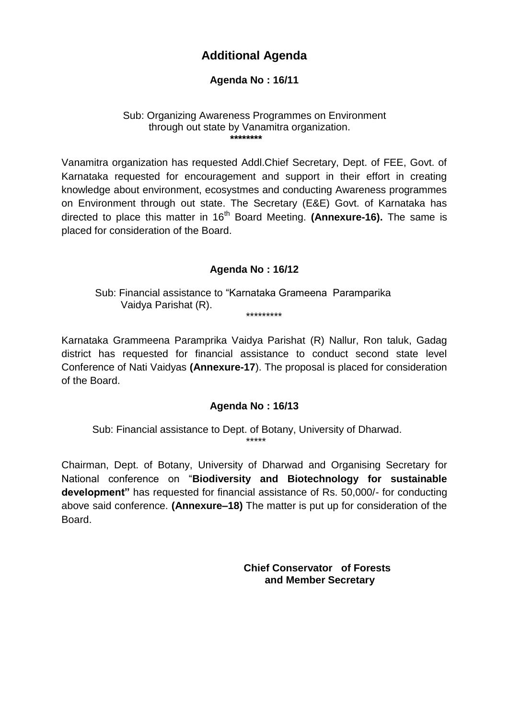### **Additional Agenda**

#### **Agenda No : 16/11**

#### Sub: Organizing Awareness Programmes on Environment through out state by Vanamitra organization.  **\*\*\*\*\*\*\*\***

Vanamitra organization has requested Addl.Chief Secretary, Dept. of FEE, Govt. of Karnataka requested for encouragement and support in their effort in creating knowledge about environment, ecosystmes and conducting Awareness programmes on Environment through out state. The Secretary (E&E) Govt. of Karnataka has directed to place this matter in 16<sup>th</sup> Board Meeting. (Annexure-16). The same is placed for consideration of the Board.

#### **Agenda No : 16/12**

Sub: Financial assistance to "Karnataka Grameena Paramparika Vaidya Parishat (R). \*\*\*\*\*\*\*\*\*

Karnataka Grammeena Paramprika Vaidya Parishat (R) Nallur, Ron taluk, Gadag district has requested for financial assistance to conduct second state level Conference of Nati Vaidyas **(Annexure-17**). The proposal is placed for consideration of the Board.

#### **Agenda No : 16/13**

Sub: Financial assistance to Dept. of Botany, University of Dharwad. \*\*\*\*\*

Chairman, Dept. of Botany, University of Dharwad and Organising Secretary for National conference on "**Biodiversity and Biotechnology for sustainable development"** has requested for financial assistance of Rs. 50,000/- for conducting above said conference. **(Annexure–18)** The matter is put up for consideration of the Board.

> **Chief Conservator of Forests and Member Secretary**